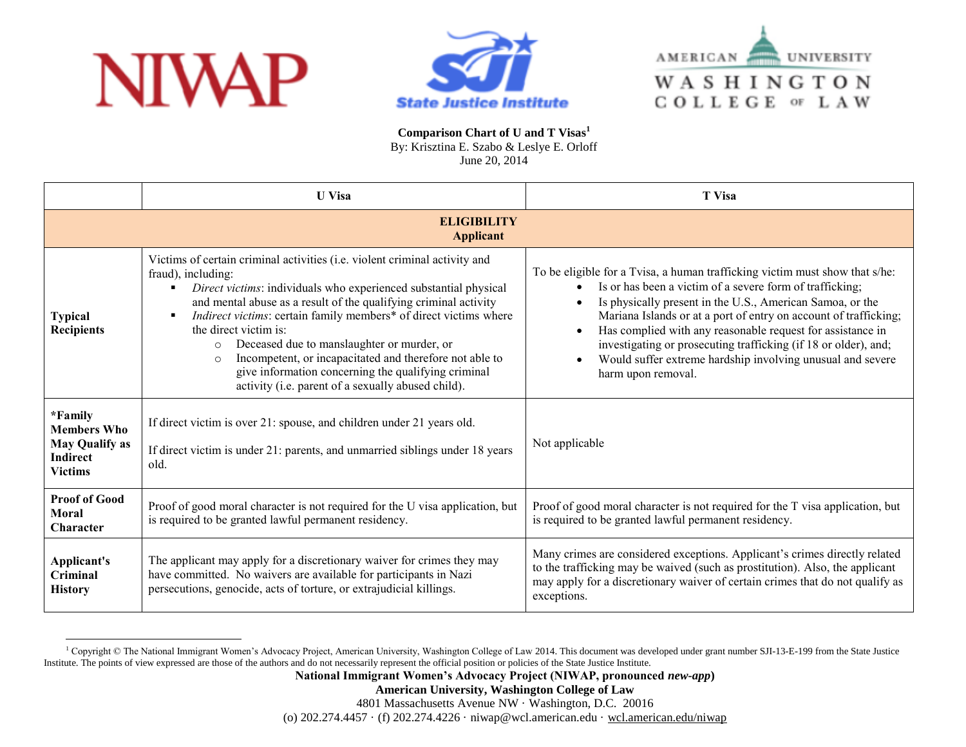





**Comparison Chart of U and T Visas<sup>1</sup>** By: Krisztina E. Szabo & Leslye E. Orloff

June 20, 2014

|                                                                                             | <b>U</b> Visa                                                                                                                                                                                                                                                                                                                                                                                                                                                                                                                                                                       | <b>T</b> Visa                                                                                                                                                                                                                                                                                                                                                                                                                                                                                 |
|---------------------------------------------------------------------------------------------|-------------------------------------------------------------------------------------------------------------------------------------------------------------------------------------------------------------------------------------------------------------------------------------------------------------------------------------------------------------------------------------------------------------------------------------------------------------------------------------------------------------------------------------------------------------------------------------|-----------------------------------------------------------------------------------------------------------------------------------------------------------------------------------------------------------------------------------------------------------------------------------------------------------------------------------------------------------------------------------------------------------------------------------------------------------------------------------------------|
|                                                                                             | <b>ELIGIBILITY</b><br><b>Applicant</b>                                                                                                                                                                                                                                                                                                                                                                                                                                                                                                                                              |                                                                                                                                                                                                                                                                                                                                                                                                                                                                                               |
| <b>Typical</b><br><b>Recipients</b>                                                         | Victims of certain criminal activities (i.e. violent criminal activity and<br>fraud), including:<br>Direct victims: individuals who experienced substantial physical<br>and mental abuse as a result of the qualifying criminal activity<br>Indirect victims: certain family members* of direct victims where<br>the direct victim is:<br>Deceased due to manslaughter or murder, or<br>$\circ$<br>Incompetent, or incapacitated and therefore not able to<br>$\Omega$<br>give information concerning the qualifying criminal<br>activity (i.e. parent of a sexually abused child). | To be eligible for a Tvisa, a human trafficking victim must show that s/he:<br>Is or has been a victim of a severe form of trafficking;<br>Is physically present in the U.S., American Samoa, or the<br>Mariana Islands or at a port of entry on account of trafficking;<br>Has complied with any reasonable request for assistance in<br>investigating or prosecuting trafficking (if 18 or older), and;<br>Would suffer extreme hardship involving unusual and severe<br>harm upon removal. |
| *Family<br><b>Members Who</b><br><b>May Qualify as</b><br><b>Indirect</b><br><b>Victims</b> | If direct victim is over 21: spouse, and children under 21 years old.<br>If direct victim is under 21: parents, and unmarried siblings under 18 years<br>old.                                                                                                                                                                                                                                                                                                                                                                                                                       | Not applicable                                                                                                                                                                                                                                                                                                                                                                                                                                                                                |
| <b>Proof of Good</b><br><b>Moral</b><br>Character                                           | Proof of good moral character is not required for the U visa application, but<br>is required to be granted lawful permanent residency.                                                                                                                                                                                                                                                                                                                                                                                                                                              | Proof of good moral character is not required for the T visa application, but<br>is required to be granted lawful permanent residency.                                                                                                                                                                                                                                                                                                                                                        |
| Applicant's<br>Criminal<br><b>History</b>                                                   | The applicant may apply for a discretionary waiver for crimes they may<br>have committed. No waivers are available for participants in Nazi<br>persecutions, genocide, acts of torture, or extrajudicial killings.                                                                                                                                                                                                                                                                                                                                                                  | Many crimes are considered exceptions. Applicant's crimes directly related<br>to the trafficking may be waived (such as prostitution). Also, the applicant<br>may apply for a discretionary waiver of certain crimes that do not qualify as<br>exceptions.                                                                                                                                                                                                                                    |

<sup>&</sup>lt;sup>1</sup> Copyright © The National Immigrant Women's Advocacy Project, American University, Washington College of Law 2014. This document was developed under grant number SJI-13-E-199 from the State Justice Institute. The points of view expressed are those of the authors and do not necessarily represent the official position or policies of the State Justice Institute.

**American University, Washington College of Law**

4801 Massachusetts Avenue NW · Washington, D.C. 20016

(o) 202.274.4457 · (f) 202.274.4226 · niwap@wcl.american.edu · wcl.american.edu/niwap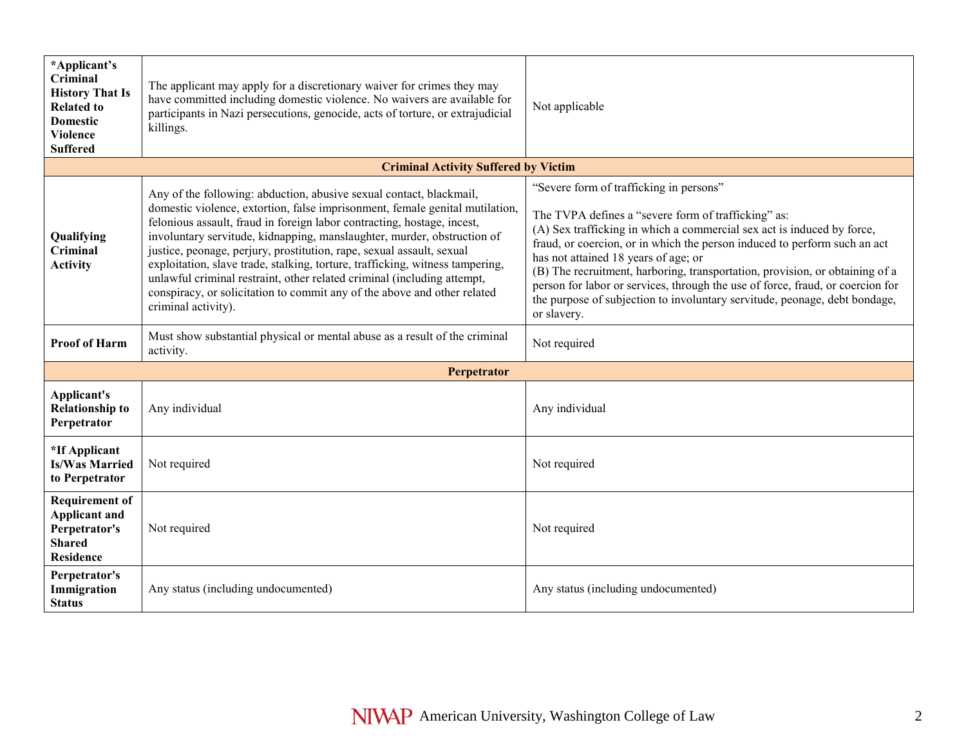| *Applicant's<br>Criminal<br><b>History That Is</b><br><b>Related to</b><br><b>Domestic</b><br><b>Violence</b><br><b>Suffered</b> | The applicant may apply for a discretionary waiver for crimes they may<br>have committed including domestic violence. No waivers are available for<br>participants in Nazi persecutions, genocide, acts of torture, or extrajudicial<br>killings.                                                                                                                                                                                                                                                                                                                                                                                                 | Not applicable                                                                                                                                                                                                                                                                                                                                                                                                                                                                                                                                               |
|----------------------------------------------------------------------------------------------------------------------------------|---------------------------------------------------------------------------------------------------------------------------------------------------------------------------------------------------------------------------------------------------------------------------------------------------------------------------------------------------------------------------------------------------------------------------------------------------------------------------------------------------------------------------------------------------------------------------------------------------------------------------------------------------|--------------------------------------------------------------------------------------------------------------------------------------------------------------------------------------------------------------------------------------------------------------------------------------------------------------------------------------------------------------------------------------------------------------------------------------------------------------------------------------------------------------------------------------------------------------|
|                                                                                                                                  | <b>Criminal Activity Suffered by Victim</b>                                                                                                                                                                                                                                                                                                                                                                                                                                                                                                                                                                                                       |                                                                                                                                                                                                                                                                                                                                                                                                                                                                                                                                                              |
| Qualifying<br>Criminal<br><b>Activity</b>                                                                                        | Any of the following: abduction, abusive sexual contact, blackmail,<br>domestic violence, extortion, false imprisonment, female genital mutilation,<br>felonious assault, fraud in foreign labor contracting, hostage, incest,<br>involuntary servitude, kidnapping, manslaughter, murder, obstruction of<br>justice, peonage, perjury, prostitution, rape, sexual assault, sexual<br>exploitation, slave trade, stalking, torture, trafficking, witness tampering,<br>unlawful criminal restraint, other related criminal (including attempt,<br>conspiracy, or solicitation to commit any of the above and other related<br>criminal activity). | "Severe form of trafficking in persons"<br>The TVPA defines a "severe form of trafficking" as:<br>(A) Sex trafficking in which a commercial sex act is induced by force,<br>fraud, or coercion, or in which the person induced to perform such an act<br>has not attained 18 years of age; or<br>(B) The recruitment, harboring, transportation, provision, or obtaining of a<br>person for labor or services, through the use of force, fraud, or coercion for<br>the purpose of subjection to involuntary servitude, peonage, debt bondage,<br>or slavery. |
| <b>Proof of Harm</b>                                                                                                             | Must show substantial physical or mental abuse as a result of the criminal<br>activity.                                                                                                                                                                                                                                                                                                                                                                                                                                                                                                                                                           | Not required                                                                                                                                                                                                                                                                                                                                                                                                                                                                                                                                                 |
|                                                                                                                                  | Perpetrator                                                                                                                                                                                                                                                                                                                                                                                                                                                                                                                                                                                                                                       |                                                                                                                                                                                                                                                                                                                                                                                                                                                                                                                                                              |
| Applicant's<br><b>Relationship to</b><br>Perpetrator                                                                             | Any individual                                                                                                                                                                                                                                                                                                                                                                                                                                                                                                                                                                                                                                    | Any individual                                                                                                                                                                                                                                                                                                                                                                                                                                                                                                                                               |
| *If Applicant<br><b>Is/Was Married</b><br>to Perpetrator                                                                         | Not required                                                                                                                                                                                                                                                                                                                                                                                                                                                                                                                                                                                                                                      | Not required                                                                                                                                                                                                                                                                                                                                                                                                                                                                                                                                                 |
| <b>Requirement of</b><br><b>Applicant and</b><br>Perpetrator's<br><b>Shared</b><br><b>Residence</b>                              | Not required                                                                                                                                                                                                                                                                                                                                                                                                                                                                                                                                                                                                                                      | Not required                                                                                                                                                                                                                                                                                                                                                                                                                                                                                                                                                 |
| Perpetrator's<br>Immigration<br><b>Status</b>                                                                                    | Any status (including undocumented)                                                                                                                                                                                                                                                                                                                                                                                                                                                                                                                                                                                                               | Any status (including undocumented)                                                                                                                                                                                                                                                                                                                                                                                                                                                                                                                          |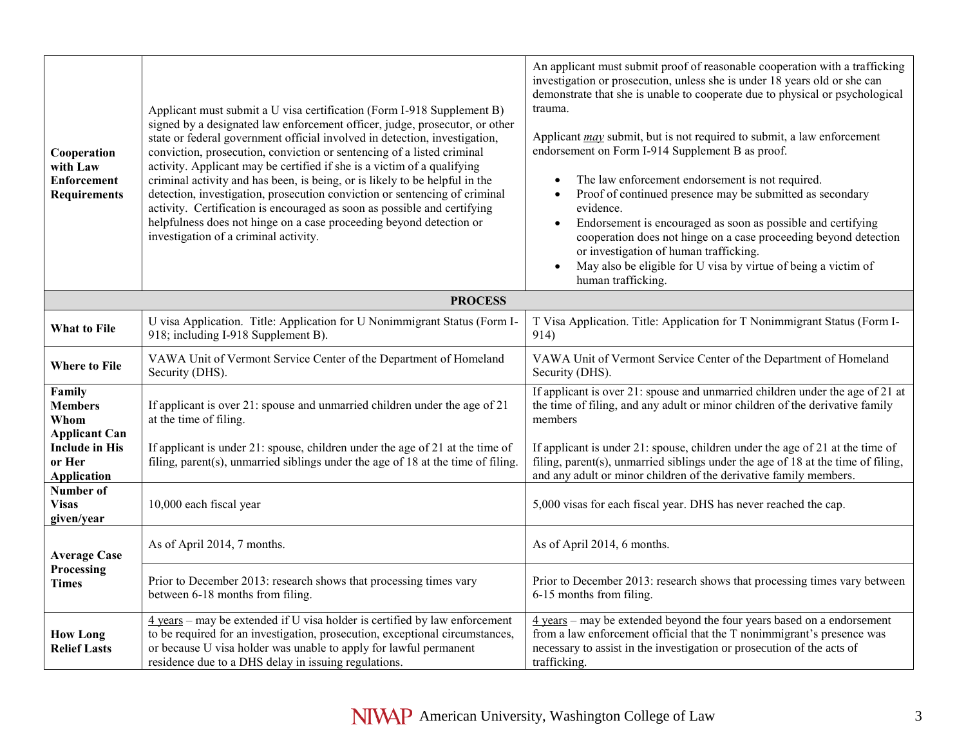| Cooperation<br>with Law<br><b>Enforcement</b><br><b>Requirements</b> | Applicant must submit a U visa certification (Form I-918 Supplement B)<br>signed by a designated law enforcement officer, judge, prosecutor, or other<br>state or federal government official involved in detection, investigation,<br>conviction, prosecution, conviction or sentencing of a listed criminal<br>activity. Applicant may be certified if she is a victim of a qualifying<br>criminal activity and has been, is being, or is likely to be helpful in the<br>detection, investigation, prosecution conviction or sentencing of criminal<br>activity. Certification is encouraged as soon as possible and certifying<br>helpfulness does not hinge on a case proceeding beyond detection or<br>investigation of a criminal activity. | An applicant must submit proof of reasonable cooperation with a trafficking<br>investigation or prosecution, unless she is under 18 years old or she can<br>demonstrate that she is unable to cooperate due to physical or psychological<br>trauma.<br>Applicant <i>may</i> submit, but is not required to submit, a law enforcement<br>endorsement on Form I-914 Supplement B as proof.<br>The law enforcement endorsement is not required.<br>Proof of continued presence may be submitted as secondary<br>evidence.<br>Endorsement is encouraged as soon as possible and certifying<br>$\bullet$<br>cooperation does not hinge on a case proceeding beyond detection<br>or investigation of human trafficking.<br>May also be eligible for U visa by virtue of being a victim of<br>$\bullet$<br>human trafficking. |
|----------------------------------------------------------------------|---------------------------------------------------------------------------------------------------------------------------------------------------------------------------------------------------------------------------------------------------------------------------------------------------------------------------------------------------------------------------------------------------------------------------------------------------------------------------------------------------------------------------------------------------------------------------------------------------------------------------------------------------------------------------------------------------------------------------------------------------|------------------------------------------------------------------------------------------------------------------------------------------------------------------------------------------------------------------------------------------------------------------------------------------------------------------------------------------------------------------------------------------------------------------------------------------------------------------------------------------------------------------------------------------------------------------------------------------------------------------------------------------------------------------------------------------------------------------------------------------------------------------------------------------------------------------------|
|                                                                      | <b>PROCESS</b>                                                                                                                                                                                                                                                                                                                                                                                                                                                                                                                                                                                                                                                                                                                                    |                                                                                                                                                                                                                                                                                                                                                                                                                                                                                                                                                                                                                                                                                                                                                                                                                        |
| What to File                                                         | U visa Application. Title: Application for U Nonimmigrant Status (Form I-<br>918; including I-918 Supplement B).                                                                                                                                                                                                                                                                                                                                                                                                                                                                                                                                                                                                                                  | T Visa Application. Title: Application for T Nonimmigrant Status (Form I-<br>914)                                                                                                                                                                                                                                                                                                                                                                                                                                                                                                                                                                                                                                                                                                                                      |
| <b>Where to File</b>                                                 | VAWA Unit of Vermont Service Center of the Department of Homeland<br>Security (DHS).                                                                                                                                                                                                                                                                                                                                                                                                                                                                                                                                                                                                                                                              | VAWA Unit of Vermont Service Center of the Department of Homeland<br>Security (DHS).                                                                                                                                                                                                                                                                                                                                                                                                                                                                                                                                                                                                                                                                                                                                   |
| Family<br><b>Members</b><br>Whom<br><b>Applicant Can</b>             | If applicant is over 21: spouse and unmarried children under the age of 21<br>at the time of filing.                                                                                                                                                                                                                                                                                                                                                                                                                                                                                                                                                                                                                                              | If applicant is over 21: spouse and unmarried children under the age of 21 at<br>the time of filing, and any adult or minor children of the derivative family<br>members                                                                                                                                                                                                                                                                                                                                                                                                                                                                                                                                                                                                                                               |
| <b>Include in His</b><br>or Her<br><b>Application</b>                | If applicant is under 21: spouse, children under the age of 21 at the time of<br>filing, parent(s), unmarried siblings under the age of 18 at the time of filing.                                                                                                                                                                                                                                                                                                                                                                                                                                                                                                                                                                                 | If applicant is under 21: spouse, children under the age of 21 at the time of<br>filing, parent(s), unmarried siblings under the age of 18 at the time of filing,<br>and any adult or minor children of the derivative family members.                                                                                                                                                                                                                                                                                                                                                                                                                                                                                                                                                                                 |
| Number of<br><b>Visas</b><br>given/year                              | 10,000 each fiscal year                                                                                                                                                                                                                                                                                                                                                                                                                                                                                                                                                                                                                                                                                                                           | 5,000 visas for each fiscal year. DHS has never reached the cap.                                                                                                                                                                                                                                                                                                                                                                                                                                                                                                                                                                                                                                                                                                                                                       |
| <b>Average Case</b><br>Processing<br><b>Times</b>                    | As of April 2014, 7 months.                                                                                                                                                                                                                                                                                                                                                                                                                                                                                                                                                                                                                                                                                                                       | As of April 2014, 6 months.                                                                                                                                                                                                                                                                                                                                                                                                                                                                                                                                                                                                                                                                                                                                                                                            |
|                                                                      | Prior to December 2013: research shows that processing times vary<br>between 6-18 months from filing.                                                                                                                                                                                                                                                                                                                                                                                                                                                                                                                                                                                                                                             | Prior to December 2013: research shows that processing times vary between<br>6-15 months from filing.                                                                                                                                                                                                                                                                                                                                                                                                                                                                                                                                                                                                                                                                                                                  |
| <b>How Long</b><br><b>Relief Lasts</b>                               | $\frac{4 \text{ years}}{4 \text{ years}}$ – may be extended if U visa holder is certified by law enforcement<br>to be required for an investigation, prosecution, exceptional circumstances,<br>or because U visa holder was unable to apply for lawful permanent<br>residence due to a DHS delay in issuing regulations.                                                                                                                                                                                                                                                                                                                                                                                                                         | 4 years - may be extended beyond the four years based on a endorsement<br>from a law enforcement official that the T nonimmigrant's presence was<br>necessary to assist in the investigation or prosecution of the acts of<br>trafficking.                                                                                                                                                                                                                                                                                                                                                                                                                                                                                                                                                                             |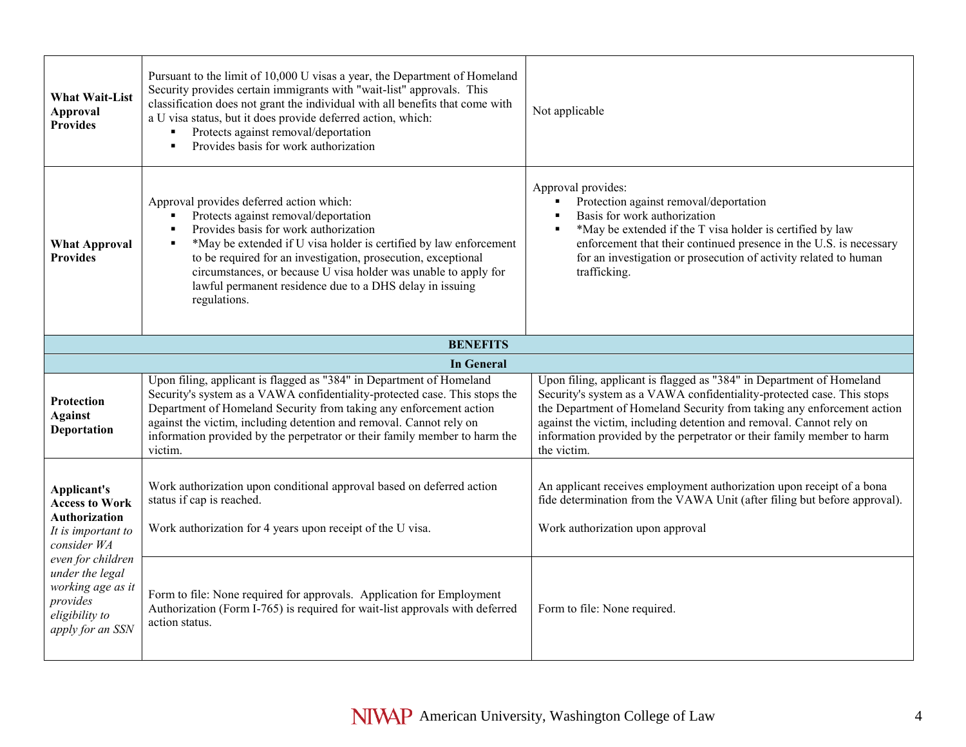| <b>What Wait-List</b><br><b>Approval</b><br><b>Provides</b>                                                                                                                                                      | Pursuant to the limit of 10,000 U visas a year, the Department of Homeland<br>Security provides certain immigrants with "wait-list" approvals. This<br>classification does not grant the individual with all benefits that come with<br>a U visa status, but it does provide deferred action, which:<br>Protects against removal/deportation<br>×,<br>Provides basis for work authorization<br>$\blacksquare$                    | Not applicable                                                                                                                                                                                                                                                                                                                                                                           |
|------------------------------------------------------------------------------------------------------------------------------------------------------------------------------------------------------------------|----------------------------------------------------------------------------------------------------------------------------------------------------------------------------------------------------------------------------------------------------------------------------------------------------------------------------------------------------------------------------------------------------------------------------------|------------------------------------------------------------------------------------------------------------------------------------------------------------------------------------------------------------------------------------------------------------------------------------------------------------------------------------------------------------------------------------------|
| <b>What Approval</b><br><b>Provides</b>                                                                                                                                                                          | Approval provides deferred action which:<br>Protects against removal/deportation<br>Provides basis for work authorization<br>*May be extended if U visa holder is certified by law enforcement<br>$\blacksquare$<br>to be required for an investigation, prosecution, exceptional<br>circumstances, or because U visa holder was unable to apply for<br>lawful permanent residence due to a DHS delay in issuing<br>regulations. | Approval provides:<br>Protection against removal/deportation<br>Basis for work authorization<br>*May be extended if the T visa holder is certified by law<br>enforcement that their continued presence in the U.S. is necessary<br>for an investigation or prosecution of activity related to human<br>trafficking.                                                                      |
|                                                                                                                                                                                                                  | <b>BENEFITS</b>                                                                                                                                                                                                                                                                                                                                                                                                                  |                                                                                                                                                                                                                                                                                                                                                                                          |
|                                                                                                                                                                                                                  | <b>In General</b>                                                                                                                                                                                                                                                                                                                                                                                                                |                                                                                                                                                                                                                                                                                                                                                                                          |
| <b>Protection</b><br><b>Against</b><br>Deportation                                                                                                                                                               | Upon filing, applicant is flagged as "384" in Department of Homeland<br>Security's system as a VAWA confidentiality-protected case. This stops the<br>Department of Homeland Security from taking any enforcement action<br>against the victim, including detention and removal. Cannot rely on<br>information provided by the perpetrator or their family member to harm the<br>victim.                                         | Upon filing, applicant is flagged as "384" in Department of Homeland<br>Security's system as a VAWA confidentiality-protected case. This stops<br>the Department of Homeland Security from taking any enforcement action<br>against the victim, including detention and removal. Cannot rely on<br>information provided by the perpetrator or their family member to harm<br>the victim. |
| Applicant's<br><b>Access to Work</b><br><b>Authorization</b><br>It is important to<br>consider WA<br>even for children<br>under the legal<br>working age as it<br>provides<br>eligibility to<br>apply for an SSN | Work authorization upon conditional approval based on deferred action<br>status if cap is reached.<br>Work authorization for 4 years upon receipt of the U visa.                                                                                                                                                                                                                                                                 | An applicant receives employment authorization upon receipt of a bona<br>fide determination from the VAWA Unit (after filing but before approval).<br>Work authorization upon approval                                                                                                                                                                                                   |
|                                                                                                                                                                                                                  | Form to file: None required for approvals. Application for Employment<br>Authorization (Form I-765) is required for wait-list approvals with deferred<br>action status.                                                                                                                                                                                                                                                          | Form to file: None required.                                                                                                                                                                                                                                                                                                                                                             |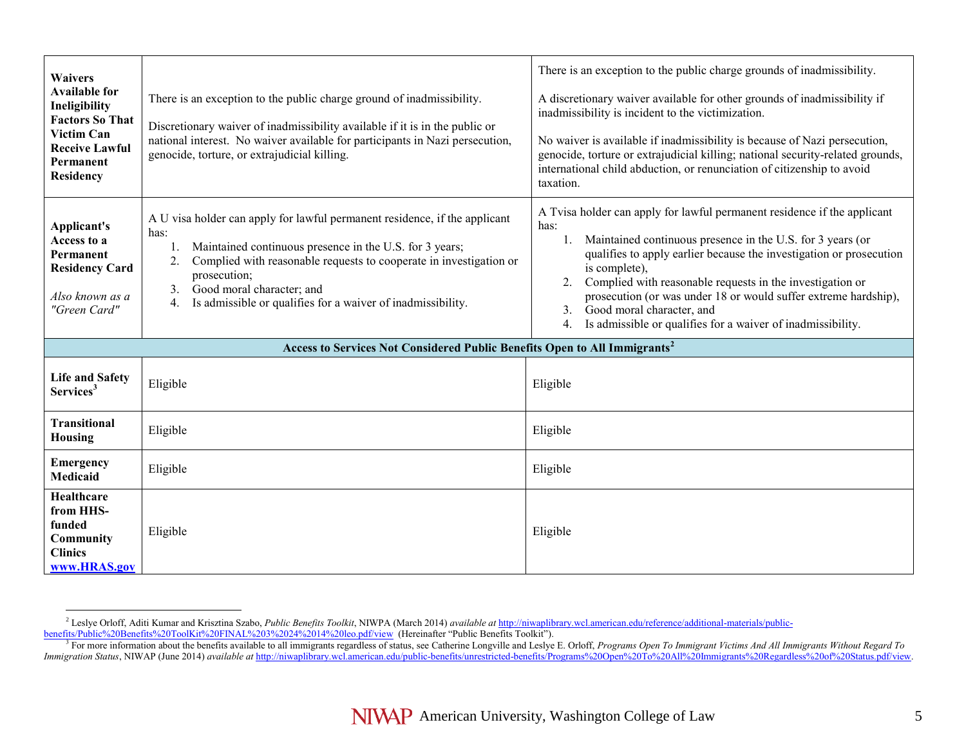| <b>Waivers</b><br><b>Available for</b><br>Ineligibility<br><b>Factors So That</b><br><b>Victim Can</b><br><b>Receive Lawful</b><br>Permanent<br><b>Residency</b> | There is an exception to the public charge ground of inadmissibility.<br>Discretionary waiver of inadmissibility available if it is in the public or<br>national interest. No waiver available for participants in Nazi persecution,<br>genocide, torture, or extrajudicial killing.                                                                                | There is an exception to the public charge grounds of inadmissibility.<br>A discretionary waiver available for other grounds of inadmissibility if<br>inadmissibility is incident to the victimization.<br>No waiver is available if inadmissibility is because of Nazi persecution,<br>genocide, torture or extrajudicial killing; national security-related grounds,<br>international child abduction, or renunciation of citizenship to avoid<br>taxation.                                       |
|------------------------------------------------------------------------------------------------------------------------------------------------------------------|---------------------------------------------------------------------------------------------------------------------------------------------------------------------------------------------------------------------------------------------------------------------------------------------------------------------------------------------------------------------|-----------------------------------------------------------------------------------------------------------------------------------------------------------------------------------------------------------------------------------------------------------------------------------------------------------------------------------------------------------------------------------------------------------------------------------------------------------------------------------------------------|
| Applicant's<br>Access to a<br>Permanent<br><b>Residency Card</b><br>Also known as a<br>"Green Card"                                                              | A U visa holder can apply for lawful permanent residence, if the applicant<br>has:<br>Maintained continuous presence in the U.S. for 3 years;<br>1.<br>Complied with reasonable requests to cooperate in investigation or<br>2.<br>prosecution;<br>Good moral character; and<br>$\mathbf{3}$ .<br>Is admissible or qualifies for a waiver of inadmissibility.<br>4. | A Tvisa holder can apply for lawful permanent residence if the applicant<br>has:<br>Maintained continuous presence in the U.S. for 3 years (or<br>$1_{\cdot}$<br>qualifies to apply earlier because the investigation or prosecution<br>is complete),<br>Complied with reasonable requests in the investigation or<br>2.<br>prosecution (or was under 18 or would suffer extreme hardship),<br>Good moral character, and<br>3.<br>Is admissible or qualifies for a waiver of inadmissibility.<br>4. |
|                                                                                                                                                                  | Access to Services Not Considered Public Benefits Open to All Immigrants <sup>2</sup>                                                                                                                                                                                                                                                                               |                                                                                                                                                                                                                                                                                                                                                                                                                                                                                                     |
| <b>Life and Safety</b><br>Services <sup>3</sup>                                                                                                                  | Eligible                                                                                                                                                                                                                                                                                                                                                            | Eligible                                                                                                                                                                                                                                                                                                                                                                                                                                                                                            |
| <b>Transitional</b><br>Housing                                                                                                                                   | Eligible                                                                                                                                                                                                                                                                                                                                                            | Eligible                                                                                                                                                                                                                                                                                                                                                                                                                                                                                            |
| <b>Emergency</b><br><b>Medicaid</b>                                                                                                                              | Eligible                                                                                                                                                                                                                                                                                                                                                            | Eligible                                                                                                                                                                                                                                                                                                                                                                                                                                                                                            |
| Healthcare<br>from HHS-<br>funded<br>Community<br><b>Clinics</b><br>www.HRAS.gov                                                                                 | Eligible                                                                                                                                                                                                                                                                                                                                                            | Eligible                                                                                                                                                                                                                                                                                                                                                                                                                                                                                            |

<sup>2</sup> Leslye Orloff, Aditi Kumar and Krisztina Szabo, *Public Benefits Toolkit*, NIWPA (March 2014) *available at* [http://niwaplibrary.wcl.american.edu/reference/additional-materials/public-](http://niwaplibrary.wcl.american.edu/reference/additional-materials/public-benefits/Public%20Benefits%20ToolKit%20FINAL%203%2024%2014%20leo.pdf/view)

[benefits/Public%20Benefits%20ToolKit%20FINAL%203%2024%2014%20leo.pdf/view](http://niwaplibrary.wcl.american.edu/reference/additional-materials/public-benefits/Public%20Benefits%20ToolKit%20FINAL%203%2024%2014%20leo.pdf/view) (Hereinafter "Public Benefits Toolkit").<br><sup>3</sup> For more information about the benefits available to all immigrants regardless of status, see Catherine *Immigration Status*, NIWAP (June 2014) *available at* [http://niwaplibrary.wcl.american.edu/public-benefits/unrestricted-benefits/Programs%20Open%20To%20All%20Immigrants%20Regardless%20of%20Status.pdf/view.](http://niwaplibrary.wcl.american.edu/public-benefits/unrestricted-benefits/Programs%20Open%20To%20All%20Immigrants%20Regardless%20of%20Status.pdf/view)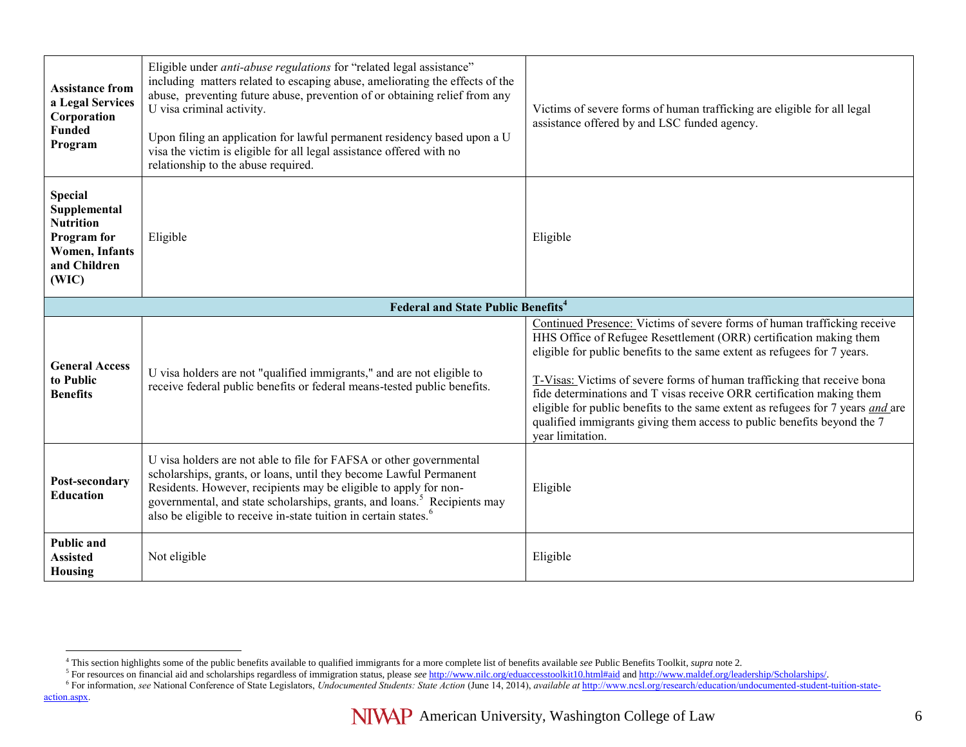| <b>Assistance from</b><br>a Legal Services<br>Corporation<br><b>Funded</b><br>Program                               | Eligible under anti-abuse regulations for "related legal assistance"<br>including matters related to escaping abuse, ameliorating the effects of the<br>abuse, preventing future abuse, prevention of or obtaining relief from any<br>U visa criminal activity.<br>Upon filing an application for lawful permanent residency based upon a U<br>visa the victim is eligible for all legal assistance offered with no<br>relationship to the abuse required. | Victims of severe forms of human trafficking are eligible for all legal<br>assistance offered by and LSC funded agency.                                                                                                                                                                                                                                                                                                                                                                                                                                                 |
|---------------------------------------------------------------------------------------------------------------------|------------------------------------------------------------------------------------------------------------------------------------------------------------------------------------------------------------------------------------------------------------------------------------------------------------------------------------------------------------------------------------------------------------------------------------------------------------|-------------------------------------------------------------------------------------------------------------------------------------------------------------------------------------------------------------------------------------------------------------------------------------------------------------------------------------------------------------------------------------------------------------------------------------------------------------------------------------------------------------------------------------------------------------------------|
| <b>Special</b><br>Supplemental<br><b>Nutrition</b><br>Program for<br><b>Women, Infants</b><br>and Children<br>(WIC) | Eligible                                                                                                                                                                                                                                                                                                                                                                                                                                                   | Eligible                                                                                                                                                                                                                                                                                                                                                                                                                                                                                                                                                                |
|                                                                                                                     | <b>Federal and State Public Benefits<sup>4</sup></b>                                                                                                                                                                                                                                                                                                                                                                                                       |                                                                                                                                                                                                                                                                                                                                                                                                                                                                                                                                                                         |
| <b>General Access</b><br>to Public<br><b>Benefits</b>                                                               | U visa holders are not "qualified immigrants," and are not eligible to<br>receive federal public benefits or federal means-tested public benefits.                                                                                                                                                                                                                                                                                                         | Continued Presence: Victims of severe forms of human trafficking receive<br>HHS Office of Refugee Resettlement (ORR) certification making them<br>eligible for public benefits to the same extent as refugees for 7 years.<br>T-Visas: Victims of severe forms of human trafficking that receive bona<br>fide determinations and T visas receive ORR certification making them<br>eligible for public benefits to the same extent as refugees for 7 years <i>and</i> are<br>qualified immigrants giving them access to public benefits beyond the 7<br>vear limitation. |
| Post-secondary<br><b>Education</b>                                                                                  | U visa holders are not able to file for FAFSA or other governmental<br>scholarships, grants, or loans, until they become Lawful Permanent<br>Residents. However, recipients may be eligible to apply for non-<br>governmental, and state scholarships, grants, and loans. <sup>5</sup> Recipients may<br>also be eligible to receive in-state tuition in certain states. <sup>6</sup>                                                                      | Eligible                                                                                                                                                                                                                                                                                                                                                                                                                                                                                                                                                                |
| <b>Public and</b><br><b>Assisted</b>                                                                                | Not eligible                                                                                                                                                                                                                                                                                                                                                                                                                                               | Eligible                                                                                                                                                                                                                                                                                                                                                                                                                                                                                                                                                                |

<sup>&</sup>lt;sup>4</sup> This section highlights some of the public benefits available to qualified immigrants for a more complete list of benefits available *see* Public Benefits Toolkit, *supra* note 2.<br><sup>5</sup> For resources on financial aid and